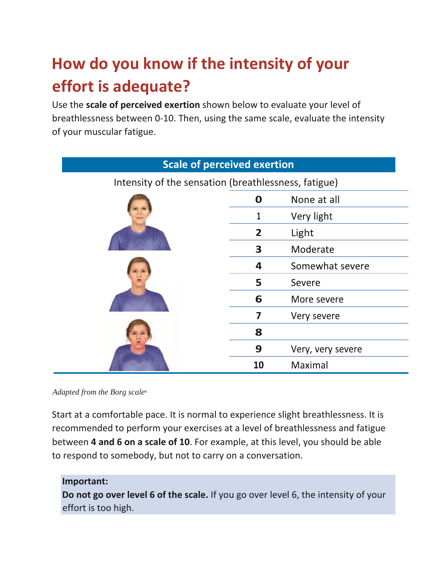# **How do you know if the intensity of your effort is adequate?**

Use the **scale of perceived exertion** shown below to evaluate your level of breathlessness between 0-10. Then, using the same scale, evaluate the intensity of your muscular fatigue.

| <b>Scale of perceived exertion</b>                   |                |                   |
|------------------------------------------------------|----------------|-------------------|
| Intensity of the sensation (breathlessness, fatigue) |                |                   |
|                                                      | $\mathbf 0$    | None at all       |
|                                                      |                | Very light        |
|                                                      | $\overline{2}$ | Light             |
|                                                      | 3              | Moderate          |
|                                                      | 4              | Somewhat severe   |
|                                                      | 5              | Severe            |
|                                                      | 6              | More severe       |
|                                                      | 7              | Very severe       |
|                                                      | 8              |                   |
|                                                      | 9              | Very, very severe |
|                                                      | 10             | Maximal           |

*Adapted from the Borg scale*<sup>6</sup>

Start at a comfortable pace. It is normal to experience slight breathlessness. It is recommended to perform your exercises at a level of breathlessness and fatigue between **4 and 6 on a scale of 10**. For example, at this level, you should be able to respond to somebody, but not to carry on a conversation.

### **Important:**

**Do not go over level 6 of the scale.** If you go over level 6, the intensity of your effort is too high.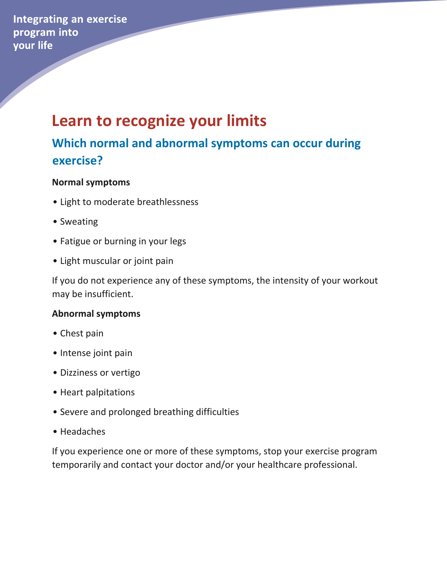**Integrating an exercise** program into your life

## **Learn to recognize your limits**

### **Which normal and abnormal symptoms can occur during exercise?**

### **Normal symptoms**

- Light to moderate breathlessness
- Sweating
- Fatigue or burning in your legs
- Light muscular or joint pain

If you do not experience any of these symptoms, the intensity of your workout may be insufficient.

### **Abnormal symptoms**

- Chest pain
- Intense joint pain
- Dizziness or vertigo
- Heart palpitations
- Severe and prolonged breathing difficulties
- Headaches

If you experience one or more of these symptoms, stop your exercise program temporarily and contact your doctor and/or your healthcare professional.